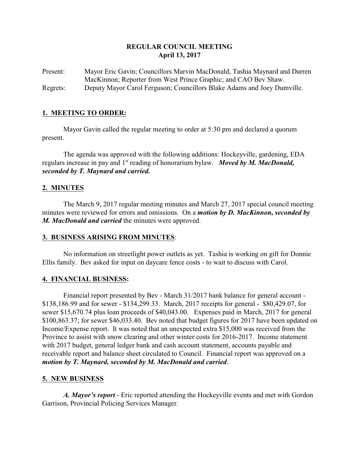# **REGULAR COUNCIL MEETING April 13, 2017**

Present: Mayor Eric Gavin; Councillors Marvin MacDonald, Tashia Maynard and Darren MacKinnon; Reporter from West Prince Graphic; and CAO Bev Shaw. Regrets: Deputy Mayor Carol Ferguson; Councillors Blake Adams and Joey Dumville.

# **1. MEETING TO ORDER:**

Mayor Gavin called the regular meeting to order at 5:30 pm and declared a quorum present.

The agenda was approved with the following additions: Hockeyville, gardening, EDA regulars increase in pay and 1st reading of honorarium bylaw. *Moved by M. MacDonald, seconded by T. Maynard and carried.*

## **2. MINUTES**

The March 9, 2017 regular meeting minutes and March 27, 2017 special council meeting minutes were reviewed for errors and omissions. On a *motion by D. MacKinnon, seconded by M. MacDonald and carried* the minutes were approved.

## **3. BUSINESS ARISING FROM MINUTES**:

No information on streetlight power outlets as yet. Tashia is working on gift for Donnie Ellis family. Bev asked for input on daycare fence costs - to wait to discuss with Carol.

## **4. FINANCIAL BUSINESS:**

Financial report presented by Bev - March 31/2017 bank balance for general account - \$138,186.99 and for sewer - \$134,299.33. March, 2017 receipts for general - \$80,429.07, for sewer \$15,670.74 plus loan proceeds of \$40,043.00. Expenses paid in March, 2017 for general \$100,863.37; for sewer \$46,033.40. Bev noted that budget figures for 2017 have been updated on Income/Expense report. It was noted that an unexpected extra \$15,000 was received from the Province to assist with snow clearing and other winter costs for 2016-2017. Income statement with 2017 budget, general ledger bank and cash account statement, accounts payable and receivable report and balance sheet circulated to Council. Financial report was approved on a *motion by T. Maynard, seconded by M. MacDonald and carried*.

## **5. NEW BUSINESS**

*A. Mayor's report* - Eric reported attending the Hockeyville events and met with Gordon Garrison, Provincial Policing Services Manager.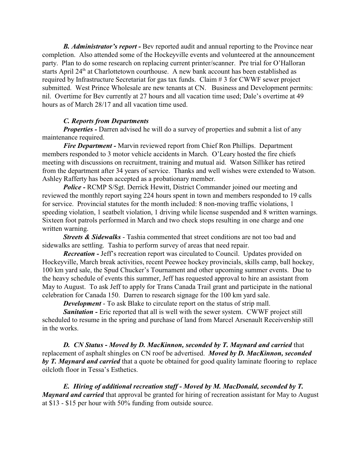*B. Administrator's report -* Bev reported audit and annual reporting to the Province near completion. Also attended some of the Hockeyville events and volunteered at the announcement party. Plan to do some research on replacing current printer/scanner. Pre trial for O'Halloran starts April 24<sup>th</sup> at Charlottetown courthouse. A new bank account has been established as required by Infrastructure Secretariat for gas tax funds. Claim # 3 for CWWF sewer project submitted. West Prince Wholesale are new tenants at CN. Business and Development permits: nil. Overtime for Bev currently at 27 hours and all vacation time used; Dale's overtime at 49 hours as of March 28/17 and all vacation time used.

#### *C. Reports from Departments*

*Properties - Darren advised he will do a survey of properties and submit a list of any* maintenance required.

*Fire Department -* Marvin reviewed report from Chief Ron Phillips. Department members responded to 3 motor vehicle accidents in March. O'Leary hosted the fire chiefs meeting with discussions on recruitment, training and mutual aid. Watson Silliker has retired from the department after 34 years of service. Thanks and well wishes were extended to Watson. Ashley Rafferty has been accepted as a probationary member.

*Police -* RCMP S/Sgt. Derrick Hewitt, District Commander joined our meeting and reviewed the monthly report saying 224 hours spent in town and members responded to 19 calls for service. Provincial statutes for the month included: 8 non-moving traffic violations, 1 speeding violation, 1 seatbelt violation, 1 driving while license suspended and 8 written warnings. Sixteen foot patrols performed in March and two check stops resulting in one charge and one written warning.

*Streets & Sidewalks* - Tashia commented that street conditions are not too bad and sidewalks are settling. Tashia to perform survey of areas that need repair.

*Recreation -* Jeff's recreation report was circulated to Council. Updates provided on Hockeyville, March break activities, recent Peewee hockey provincials, skills camp, ball hockey, 100 km yard sale, the Spud Chucker's Tournament and other upcoming summer events. Due to the heavy schedule of events this summer, Jeff has requested approval to hire an assistant from May to August. To ask Jeff to apply for Trans Canada Trail grant and participate in the national celebration for Canada 150. Darren to research signage for the 100 km yard sale.

*Development* - To ask Blake to circulate report on the status of strip mall.

*Sanitation -* Eric reported that all is well with the sewer system.CWWF project still scheduled to resume in the spring and purchase of land from Marcel Arsenault Receivership still in the works.

*D. CN Status* **-** *Moved by D. MacKinnon, seconded by T. Maynard and carried* that replacement of asphalt shingles on CN roof be advertised. *Moved by D. MacKinnon, seconded by T. Maynard and carried* that a quote be obtained for good quality laminate flooring to replace oilcloth floor in Tessa's Esthetics.

*E. Hiring of additional recreation staff - Moved by M. MacDonald, seconded by T. Maynard and carried* that approval be granted for hiring of recreation assistant for May to August at \$13 - \$15 per hour with 50% funding from outside source.